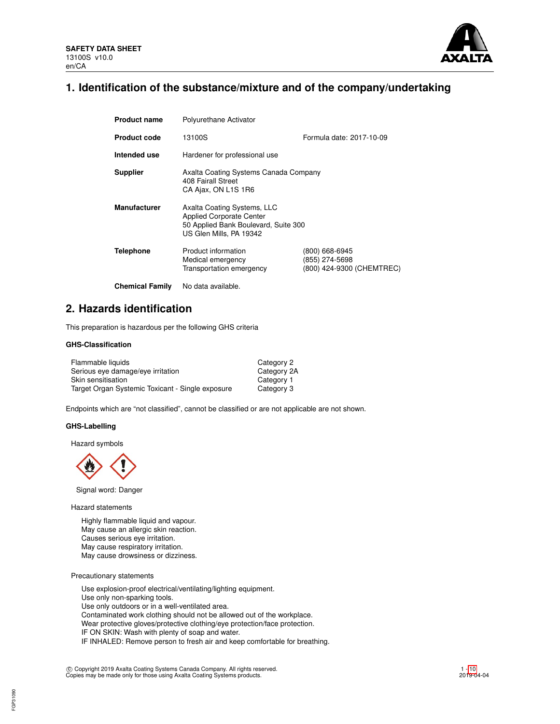

# **1. Identification of the substance/mixture and of the company/undertaking**

| <b>Product name</b>    | Polyurethane Activator                                                                                                            |                                                               |  |  |  |
|------------------------|-----------------------------------------------------------------------------------------------------------------------------------|---------------------------------------------------------------|--|--|--|
| <b>Product code</b>    | Formula date: 2017-10-09<br>13100S                                                                                                |                                                               |  |  |  |
| Intended use           | Hardener for professional use                                                                                                     |                                                               |  |  |  |
| <b>Supplier</b>        | Axalta Coating Systems Canada Company<br>408 Fairall Street<br>CA Ajax, ON L1S 1R6                                                |                                                               |  |  |  |
| <b>Manufacturer</b>    | Axalta Coating Systems, LLC<br><b>Applied Corporate Center</b><br>50 Applied Bank Boulevard, Suite 300<br>US Glen Mills, PA 19342 |                                                               |  |  |  |
| <b>Telephone</b>       | Product information<br>Medical emergency<br>Transportation emergency                                                              | (800) 668-6945<br>(855) 274-5698<br>(800) 424-9300 (CHEMTREC) |  |  |  |
| <b>Chemical Family</b> | No data available.                                                                                                                |                                                               |  |  |  |

# **2. Hazards identification**

This preparation is hazardous per the following GHS criteria

### **GHS-Classification**

| Flammable liquids                                | Category 2  |
|--------------------------------------------------|-------------|
| Serious eye damage/eye irritation                | Category 2A |
| Skin sensitisation                               | Category 1  |
| Target Organ Systemic Toxicant - Single exposure | Category 3  |

Endpoints which are "not classified", cannot be classified or are not applicable are not shown.

## **GHS-Labelling**

Hazard symbols



Signal word: Danger

Hazard statements

Highly flammable liquid and vapour. May cause an allergic skin reaction. Causes serious eye irritation. May cause respiratory irritation. May cause drowsiness or dizziness.

Precautionary statements

Use explosion-proof electrical/ventilating/lighting equipment. Use only non-sparking tools. Use only outdoors or in a well-ventilated area. Contaminated work clothing should not be allowed out of the workplace. Wear protective gloves/protective clothing/eye protection/face protection. IF ON SKIN: Wash with plenty of soap and water. IF INHALED: Remove person to fresh air and keep comfortable for breathing.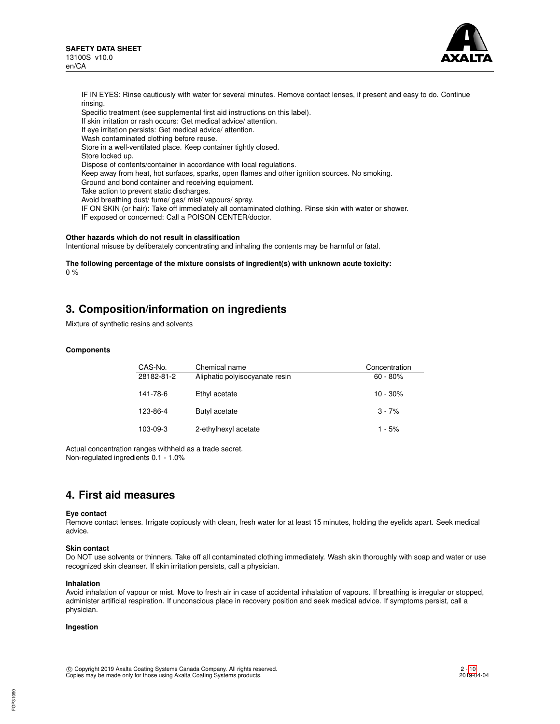

IF IN EYES: Rinse cautiously with water for several minutes. Remove contact lenses, if present and easy to do. Continue rinsing.

Specific treatment (see supplemental first aid instructions on this label).

If skin irritation or rash occurs: Get medical advice/ attention.

- If eye irritation persists: Get medical advice/ attention.
- Wash contaminated clothing before reuse.

Store in a well-ventilated place. Keep container tightly closed.

Store locked up.

Dispose of contents/container in accordance with local regulations.

Keep away from heat, hot surfaces, sparks, open flames and other ignition sources. No smoking.

Ground and bond container and receiving equipment.

Take action to prevent static discharges.

Avoid breathing dust/ fume/ gas/ mist/ vapours/ spray.

IF ON SKIN (or hair): Take off immediately all contaminated clothing. Rinse skin with water or shower.

IF exposed or concerned: Call a POISON CENTER/doctor.

#### **Other hazards which do not result in classification**

Intentional misuse by deliberately concentrating and inhaling the contents may be harmful or fatal.

**The following percentage of the mixture consists of ingredient(s) with unknown acute toxicity:** 0 %

# **3. Composition/information on ingredients**

Mixture of synthetic resins and solvents

#### **Components**

| CAS-No.<br>28182-81-2 | Chemical name<br>Aliphatic polyisocyanate resin | Concentration<br>$60 - 80\%$ |
|-----------------------|-------------------------------------------------|------------------------------|
| 141-78-6              | Ethyl acetate                                   | $10 - 30%$                   |
| 123-86-4              | Butyl acetate                                   | $3 - 7%$                     |
| 103-09-3              | 2-ethylhexyl acetate                            | $1 - 5%$                     |

Actual concentration ranges withheld as a trade secret. Non-regulated ingredients 0.1 - 1.0%

# **4. First aid measures**

#### **Eye contact**

Remove contact lenses. Irrigate copiously with clean, fresh water for at least 15 minutes, holding the eyelids apart. Seek medical advice.

### **Skin contact**

Do NOT use solvents or thinners. Take off all contaminated clothing immediately. Wash skin thoroughly with soap and water or use recognized skin cleanser. If skin irritation persists, call a physician.

#### **Inhalation**

Avoid inhalation of vapour or mist. Move to fresh air in case of accidental inhalation of vapours. If breathing is irregular or stopped, administer artificial respiration. If unconscious place in recovery position and seek medical advice. If symptoms persist, call a physician.

#### **Ingestion**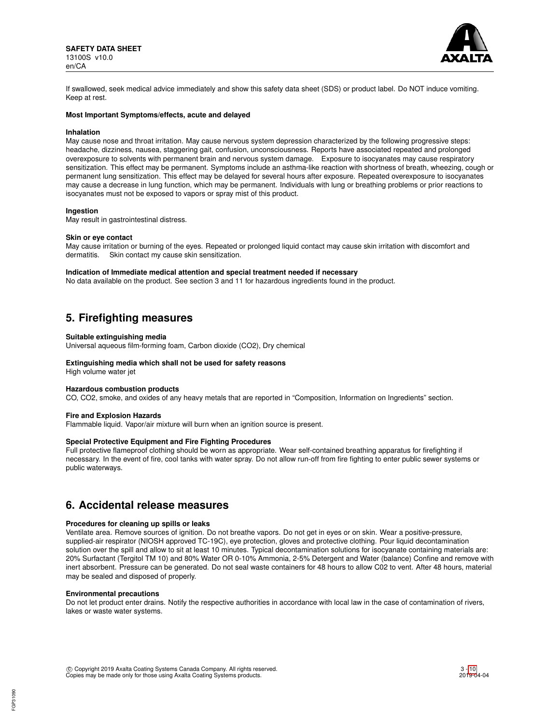

If swallowed, seek medical advice immediately and show this safety data sheet (SDS) or product label. Do NOT induce vomiting. Keep at rest.

### **Most Important Symptoms/effects, acute and delayed**

#### **Inhalation**

May cause nose and throat irritation. May cause nervous system depression characterized by the following progressive steps: headache, dizziness, nausea, staggering gait, confusion, unconsciousness. Reports have associated repeated and prolonged overexposure to solvents with permanent brain and nervous system damage. Exposure to isocyanates may cause respiratory sensitization. This effect may be permanent. Symptoms include an asthma-like reaction with shortness of breath, wheezing, cough or permanent lung sensitization. This effect may be delayed for several hours after exposure. Repeated overexposure to isocyanates may cause a decrease in lung function, which may be permanent. Individuals with lung or breathing problems or prior reactions to isocyanates must not be exposed to vapors or spray mist of this product.

#### **Ingestion**

May result in gastrointestinal distress.

#### **Skin or eye contact**

May cause irritation or burning of the eyes. Repeated or prolonged liquid contact may cause skin irritation with discomfort and dermatitis. Skin contact my cause skin sensitization Skin contact my cause skin sensitization.

#### **Indication of Immediate medical attention and special treatment needed if necessary**

No data available on the product. See section 3 and 11 for hazardous ingredients found in the product.

# **5. Firefighting measures**

#### **Suitable extinguishing media**

Universal aqueous film-forming foam, Carbon dioxide (CO2), Dry chemical

## **Extinguishing media which shall not be used for safety reasons**

High volume water jet

## **Hazardous combustion products**

CO, CO2, smoke, and oxides of any heavy metals that are reported in "Composition, Information on Ingredients" section.

#### **Fire and Explosion Hazards**

Flammable liquid. Vapor/air mixture will burn when an ignition source is present.

### **Special Protective Equipment and Fire Fighting Procedures**

Full protective flameproof clothing should be worn as appropriate. Wear self-contained breathing apparatus for firefighting if necessary. In the event of fire, cool tanks with water spray. Do not allow run-off from fire fighting to enter public sewer systems or public waterways.

# **6. Accidental release measures**

#### **Procedures for cleaning up spills or leaks**

Ventilate area. Remove sources of ignition. Do not breathe vapors. Do not get in eyes or on skin. Wear a positive-pressure, supplied-air respirator (NIOSH approved TC-19C), eye protection, gloves and protective clothing. Pour liquid decontamination solution over the spill and allow to sit at least 10 minutes. Typical decontamination solutions for isocyanate containing materials are: 20% Surfactant (Tergitol TM 10) and 80% Water OR 0-10% Ammonia, 2-5% Detergent and Water (balance) Confine and remove with inert absorbent. Pressure can be generated. Do not seal waste containers for 48 hours to allow C02 to vent. After 48 hours, material may be sealed and disposed of properly.

#### **Environmental precautions**

Do not let product enter drains. Notify the respective authorities in accordance with local law in the case of contamination of rivers, lakes or waste water systems.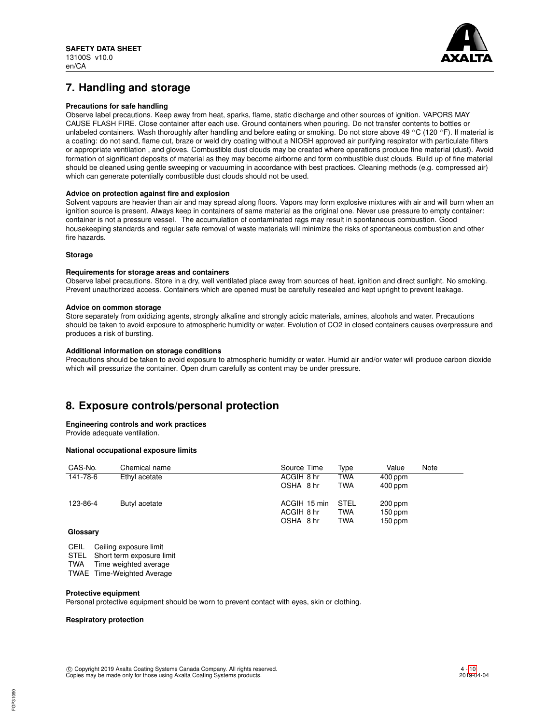

# **7. Handling and storage**

## **Precautions for safe handling**

Observe label precautions. Keep away from heat, sparks, flame, static discharge and other sources of ignition. VAPORS MAY CAUSE FLASH FIRE. Close container after each use. Ground containers when pouring. Do not transfer contents to bottles or unlabeled containers. Wash thoroughly after handling and before eating or smoking. Do not store above 49 °C (120 °F). If material is a coating: do not sand, flame cut, braze or weld dry coating without a NIOSH approved air purifying respirator with particulate filters or appropriate ventilation , and gloves. Combustible dust clouds may be created where operations produce fine material (dust). Avoid formation of significant deposits of material as they may become airborne and form combustible dust clouds. Build up of fine material should be cleaned using gentle sweeping or vacuuming in accordance with best practices. Cleaning methods (e.g. compressed air) which can generate potentially combustible dust clouds should not be used.

### **Advice on protection against fire and explosion**

Solvent vapours are heavier than air and may spread along floors. Vapors may form explosive mixtures with air and will burn when an ignition source is present. Always keep in containers of same material as the original one. Never use pressure to empty container: container is not a pressure vessel. The accumulation of contaminated rags may result in spontaneous combustion. Good housekeeping standards and regular safe removal of waste materials will minimize the risks of spontaneous combustion and other fire hazards.

### **Storage**

#### **Requirements for storage areas and containers**

Observe label precautions. Store in a dry, well ventilated place away from sources of heat, ignition and direct sunlight. No smoking. Prevent unauthorized access. Containers which are opened must be carefully resealed and kept upright to prevent leakage.

### **Advice on common storage**

Store separately from oxidizing agents, strongly alkaline and strongly acidic materials, amines, alcohols and water. Precautions should be taken to avoid exposure to atmospheric humidity or water. Evolution of CO2 in closed containers causes overpressure and produces a risk of bursting.

### **Additional information on storage conditions**

Precautions should be taken to avoid exposure to atmospheric humidity or water. Humid air and/or water will produce carbon dioxide which will pressurize the container. Open drum carefully as content may be under pressure.

# **8. Exposure controls/personal protection**

#### **Engineering controls and work practices**

Provide adequate ventilation.

#### **National occupational exposure limits**

| CAS-No.  | Chemical name | Source Time                             | Type                      | Value                             | Note |
|----------|---------------|-----------------------------------------|---------------------------|-----------------------------------|------|
| 141-78-6 | Ethyl acetate | ACGIH 8 hr                              | TWA                       | $400$ ppm                         |      |
|          |               | OSHA 8 hr                               | <b>TWA</b>                | $400$ ppm                         |      |
| 123-86-4 | Butyl acetate | ACGIH 15 min<br>ACGIH 8 hr<br>OSHA 8 hr | STEL<br>TWA<br><b>TWA</b> | 200 ppm<br>$150$ ppm<br>$150$ ppm |      |
| $\sim$   |               |                                         |                           |                                   |      |

#### **Glossary**

CEIL Ceiling exposure limit<br>STEL Short term exposure l Short term exposure limit

TWA Time weighted average

TWAE Time-Weighted Average

#### **Protective equipment**

Personal protective equipment should be worn to prevent contact with eyes, skin or clothing.

#### **Respiratory protection**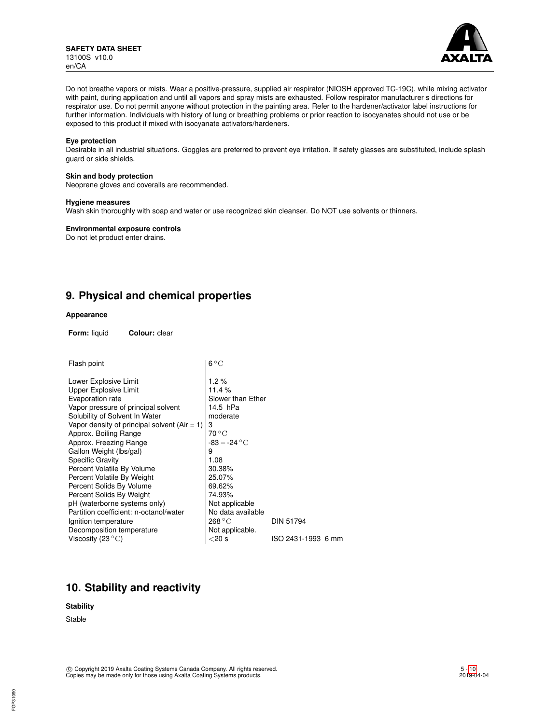

Do not breathe vapors or mists. Wear a positive-pressure, supplied air respirator (NIOSH approved TC-19C), while mixing activator with paint, during application and until all vapors and spray mists are exhausted. Follow respirator manufacturer s directions for respirator use. Do not permit anyone without protection in the painting area. Refer to the hardener/activator label instructions for further information. Individuals with history of lung or breathing problems or prior reaction to isocyanates should not use or be exposed to this product if mixed with isocyanate activators/hardeners.

#### **Eye protection**

Desirable in all industrial situations. Goggles are preferred to prevent eye irritation. If safety glasses are substituted, include splash guard or side shields.

## **Skin and body protection**

Neoprene gloves and coveralls are recommended.

#### **Hygiene measures**

Wash skin thoroughly with soap and water or use recognized skin cleanser. Do NOT use solvents or thinners.

**Environmental exposure controls**

Do not let product enter drains.

# **9. Physical and chemical properties**

#### **Appearance**

**Form:** liquid **Colour:** clear

| Flash point                                    | $6^{\circ}$ C             |                    |  |  |  |
|------------------------------------------------|---------------------------|--------------------|--|--|--|
| Lower Explosive Limit                          | 1.2%                      |                    |  |  |  |
| <b>Upper Explosive Limit</b>                   | 11.4%                     |                    |  |  |  |
| Evaporation rate                               | Slower than Ether         |                    |  |  |  |
| Vapor pressure of principal solvent            | 14.5 hPa                  |                    |  |  |  |
| Solubility of Solvent In Water                 | moderate                  |                    |  |  |  |
| Vapor density of principal solvent $(Air = 1)$ | 3                         |                    |  |  |  |
| Approx. Boiling Range                          | $70^{\circ}$ C            |                    |  |  |  |
| Approx. Freezing Range                         | $-83 - -24$ °C            |                    |  |  |  |
| Gallon Weight (lbs/gal)                        | 9                         |                    |  |  |  |
| <b>Specific Gravity</b>                        | 1.08                      |                    |  |  |  |
| Percent Volatile By Volume                     | 30.38%                    |                    |  |  |  |
| Percent Volatile By Weight                     | 25.07%                    |                    |  |  |  |
| Percent Solids By Volume                       | 69.62%                    |                    |  |  |  |
| Percent Solids By Weight                       | 74.93%                    |                    |  |  |  |
| pH (waterborne systems only)                   | Not applicable            |                    |  |  |  |
| Partition coefficient: n-octanol/water         | No data available         |                    |  |  |  |
| Ignition temperature                           | $268\,^{\circ}\mathrm{C}$ | <b>DIN 51794</b>   |  |  |  |
| Decomposition temperature                      | Not applicable.           |                    |  |  |  |
| Viscosity (23 $\mathrm{^{\circ}C}$ )           | $<$ 20 s                  | ISO 2431-1993 6 mm |  |  |  |
|                                                |                           |                    |  |  |  |

# **10. Stability and reactivity**

# **Stability**

Stable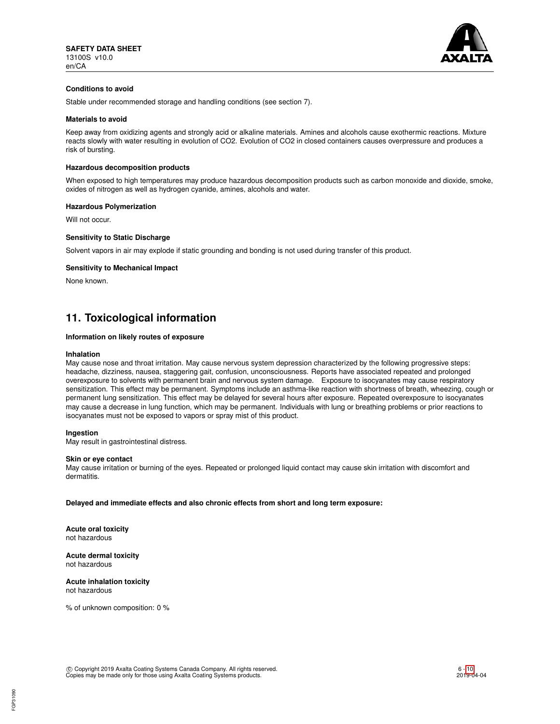

# **Conditions to avoid**

Stable under recommended storage and handling conditions (see section 7).

#### **Materials to avoid**

Keep away from oxidizing agents and strongly acid or alkaline materials. Amines and alcohols cause exothermic reactions. Mixture reacts slowly with water resulting in evolution of CO2. Evolution of CO2 in closed containers causes overpressure and produces a risk of bursting.

#### **Hazardous decomposition products**

When exposed to high temperatures may produce hazardous decomposition products such as carbon monoxide and dioxide, smoke, oxides of nitrogen as well as hydrogen cyanide, amines, alcohols and water.

#### **Hazardous Polymerization**

Will not occur.

#### **Sensitivity to Static Discharge**

Solvent vapors in air may explode if static grounding and bonding is not used during transfer of this product.

#### **Sensitivity to Mechanical Impact**

None known.

# **11. Toxicological information**

# **Information on likely routes of exposure**

#### **Inhalation**

May cause nose and throat irritation. May cause nervous system depression characterized by the following progressive steps: headache, dizziness, nausea, staggering gait, confusion, unconsciousness. Reports have associated repeated and prolonged overexposure to solvents with permanent brain and nervous system damage. Exposure to isocyanates may cause respiratory sensitization. This effect may be permanent. Symptoms include an asthma-like reaction with shortness of breath, wheezing, cough or permanent lung sensitization. This effect may be delayed for several hours after exposure. Repeated overexposure to isocyanates may cause a decrease in lung function, which may be permanent. Individuals with lung or breathing problems or prior reactions to isocyanates must not be exposed to vapors or spray mist of this product.

### **Ingestion**

May result in gastrointestinal distress.

#### **Skin or eye contact**

May cause irritation or burning of the eyes. Repeated or prolonged liquid contact may cause skin irritation with discomfort and dermatitis.

**Delayed and immediate effects and also chronic effects from short and long term exposure:**

**Acute oral toxicity** not hazardous

**Acute dermal toxicity** not hazardous

**Acute inhalation toxicity** not hazardous

% of unknown composition: 0 %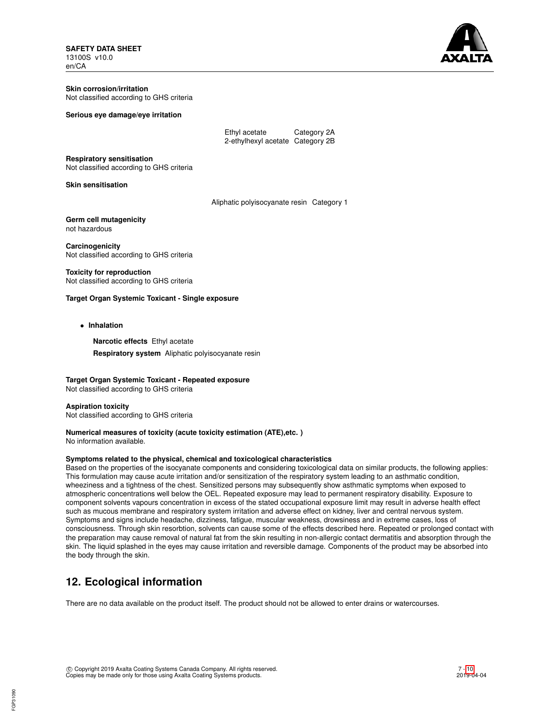**SAFETY DATA SHEET** 13100S v10.0 en/CA



**Skin corrosion/irritation** Not classified according to GHS criteria

## **Serious eye damage/eye irritation**

| Ethyl acetate                    | Category 2A |
|----------------------------------|-------------|
| 2-ethylhexyl acetate Category 2B |             |

**Respiratory sensitisation**

Not classified according to GHS criteria

#### **Skin sensitisation**

Aliphatic polyisocyanate resin Category 1

**Germ cell mutagenicity** not hazardous

**Carcinogenicity** Not classified according to GHS criteria

# **Toxicity for reproduction**

Not classified according to GHS criteria

## **Target Organ Systemic Toxicant - Single exposure**

• **Inhalation**

**Narcotic effects** Ethyl acetate

**Respiratory system** Aliphatic polyisocyanate resin

# **Target Organ Systemic Toxicant - Repeated exposure**

Not classified according to GHS criteria

## **Aspiration toxicity** Not classified according to GHS criteria

# **Numerical measures of toxicity (acute toxicity estimation (ATE),etc. )**

No information available.

# **Symptoms related to the physical, chemical and toxicological characteristics**

Based on the properties of the isocyanate components and considering toxicological data on similar products, the following applies: This formulation may cause acute irritation and/or sensitization of the respiratory system leading to an asthmatic condition, wheeziness and a tightness of the chest. Sensitized persons may subsequently show asthmatic symptoms when exposed to atmospheric concentrations well below the OEL. Repeated exposure may lead to permanent respiratory disability. Exposure to component solvents vapours concentration in excess of the stated occupational exposure limit may result in adverse health effect such as mucous membrane and respiratory system irritation and adverse effect on kidney, liver and central nervous system. Symptoms and signs include headache, dizziness, fatigue, muscular weakness, drowsiness and in extreme cases, loss of consciousness. Through skin resorbtion, solvents can cause some of the effects described here. Repeated or prolonged contact with the preparation may cause removal of natural fat from the skin resulting in non-allergic contact dermatitis and absorption through the skin. The liquid splashed in the eyes may cause irritation and reversible damage. Components of the product may be absorbed into the body through the skin.

# **12. Ecological information**

There are no data available on the product itself. The product should not be allowed to enter drains or watercourses.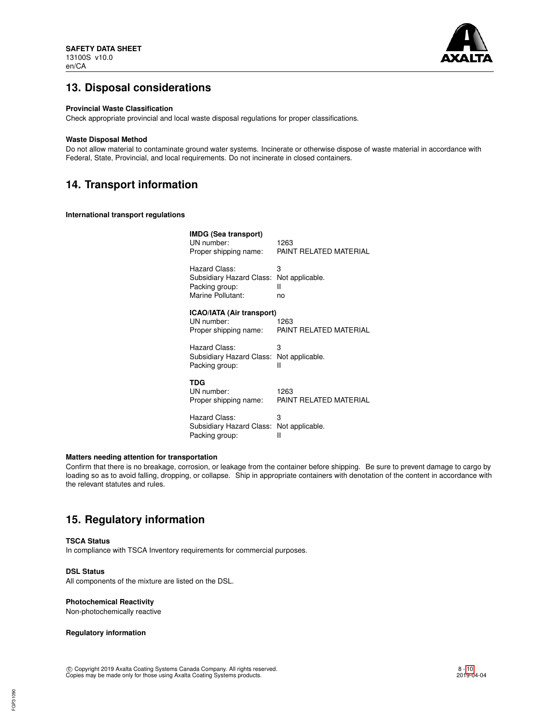

# **13. Disposal considerations**

## **Provincial Waste Classification**

Check appropriate provincial and local waste disposal regulations for proper classifications.

#### **Waste Disposal Method**

Do not allow material to contaminate ground water systems. Incinerate or otherwise dispose of waste material in accordance with Federal, State, Provincial, and local requirements. Do not incinerate in closed containers.

# **14. Transport information**

**International transport regulations**

| <b>IMDG (Sea transport)</b><br>UN number:<br>Proper shipping name: | 1263<br>PAINT RELATED MATERIAL |
|--------------------------------------------------------------------|--------------------------------|
| Hazard Class:                                                      | 3                              |
| Subsidiary Hazard Class:                                           | Not applicable.                |
| Packing group:                                                     | н                              |
| Marine Pollutant:                                                  | no                             |
| <b>ICAO/IATA (Air transport)</b><br>UN number:                     | 1263                           |
| Proper shipping name:                                              | PAINT RELATED MATERIAL         |
| Hazard Class:                                                      | 3                              |
| Subsidiary Hazard Class:                                           | Not applicable.                |
| Packing group:                                                     | Ш                              |
| TDG                                                                |                                |
| UN number:                                                         | 1263                           |
| Proper shipping name:                                              | PAINT RELATED MATERIAL         |
| Hazard Class:                                                      | 3                              |
| Subsidiary Hazard Class:                                           | Not applicable.                |
| Packing group:                                                     | Ш                              |

## **Matters needing attention for transportation**

Confirm that there is no breakage, corrosion, or leakage from the container before shipping. Be sure to prevent damage to cargo by loading so as to avoid falling, dropping, or collapse. Ship in appropriate containers with denotation of the content in accordance with the relevant statutes and rules.

# **15. Regulatory information**

#### **TSCA Status**

In compliance with TSCA Inventory requirements for commercial purposes.

# **DSL Status**

All components of the mixture are listed on the DSL.

### **Photochemical Reactivity**

Non-photochemically reactive

### **Regulatory information**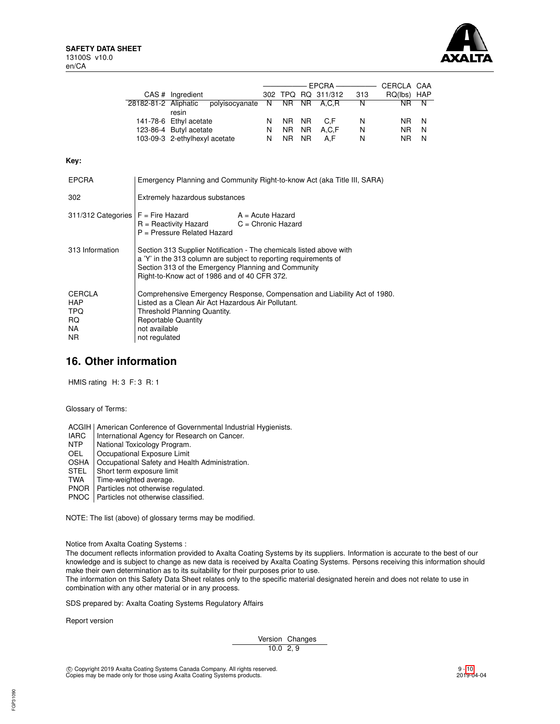

|                      | CAS # Ingredient              |    |     |     | 302 TPQ RQ 311/312 | 313 | RQ(lbs) HAP |          |
|----------------------|-------------------------------|----|-----|-----|--------------------|-----|-------------|----------|
| 28182-81-2 Aliphatic | polyisocyanate N NR NR A,C,R  |    |     |     |                    | N   | NR.         | N        |
|                      | resin                         |    |     |     |                    |     |             |          |
|                      | 141-78-6 Ethyl acetate        | N. |     |     | NR NR C.F          | N   | NR N        |          |
|                      | 123-86-4 Butyl acetate        | N  |     |     | NR NR A.C.F        | N   | NR.         | <b>N</b> |
|                      | 103-09-3 2-ethylhexyl acetate | N. | NR. | NR. | A.F                | N   | NR.         | N        |

### **Key:**

| <b>EPCRA</b>                                                   | Emergency Planning and Community Right-to-know Act (aka Title III, SARA)                                                                                                                                                                       |                    |  |
|----------------------------------------------------------------|------------------------------------------------------------------------------------------------------------------------------------------------------------------------------------------------------------------------------------------------|--------------------|--|
| 302                                                            | Extremely hazardous substances                                                                                                                                                                                                                 |                    |  |
| 311/312 Categories $F =$ Fire Hazard                           | $R =$ Reactivity Hazard $C =$ Chronic Hazard<br>P = Pressure Related Hazard                                                                                                                                                                    | $A = Acute$ Hazard |  |
| 313 Information                                                | Section 313 Supplier Notification - The chemicals listed above with<br>a 'Y' in the 313 column are subject to reporting requirements of<br>Section 313 of the Emergency Planning and Community<br>Right-to-Know act of 1986 and of 40 CFR 372. |                    |  |
| <b>CERCLA</b><br><b>HAP</b><br><b>TPQ</b><br>RQ.<br>NA.<br>NR. | Comprehensive Emergency Response, Compensation and Liability Act of 1980.<br>Listed as a Clean Air Act Hazardous Air Pollutant.<br>Threshold Planning Quantity.<br><b>Reportable Quantity</b><br>not available<br>not regulated                |                    |  |

# **16. Other information**

HMIS rating H: 3 F: 3 R: 1

Glossary of Terms:

ACGIH | American Conference of Governmental Industrial Hygienists.<br>
IARC | International Agency for Research on Cancer.

IARC | International Agency for Research on Cancer.<br>NTP | National Toxicology Program.

NTP National Toxicology Program.<br>OEL Cocupational Exposure Limit

Occupational Exposure Limit

OSHA Occupational Safety and Health Administration.

STEL Short term exposure limit

TWA | Time-weighted average.

PNOR | Particles not otherwise regulated.

PNOC | Particles not otherwise classified.

NOTE: The list (above) of glossary terms may be modified.

Notice from Axalta Coating Systems :

The document reflects information provided to Axalta Coating Systems by its suppliers. Information is accurate to the best of our knowledge and is subject to change as new data is received by Axalta Coating Systems. Persons receiving this information should make their own determination as to its suitability for their purposes prior to use.

The information on this Safety Data Sheet relates only to the specific material designated herein and does not relate to use in combination with any other material or in any process.

SDS prepared by: Axalta Coating Systems Regulatory Affairs

Report version

Version Changes  $10.0 \t2, 9$